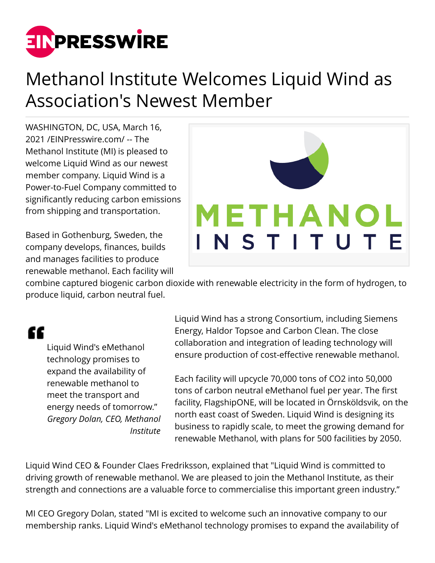

## Methanol Institute Welcomes Liquid Wind as Association's Newest Member

WASHINGTON, DC, USA, March 16, 2021 /[EINPresswire.com](http://www.einpresswire.com)/ -- The Methanol Institute (MI) is pleased to welcome Liquid Wind as our newest member company. Liquid Wind is a Power-to-Fuel Company committed to significantly reducing carbon emissions from shipping and transportation.

Based in Gothenburg, Sweden, the company develops, finances, builds and manages facilities to produce renewable methanol. Each facility will



combine captured biogenic carbon dioxide with renewable electricity in the form of hydrogen, to produce liquid, carbon neutral fuel.

## "

Liquid Wind's eMethanol technology promises to expand the availability of renewable methanol to meet the transport and energy needs of tomorrow." *Gregory Dolan, CEO, Methanol Institute* Liquid Wind has a strong Consortium, including Siemens Energy, Haldor Topsoe and Carbon Clean. The close collaboration and integration of leading technology will ensure production of cost-effective renewable methanol.

Each facility will upcycle 70,000 tons of CO2 into 50,000 tons of carbon neutral eMethanol fuel per year. The first facility, FlagshipONE, will be located in Örnsköldsvik, on the north east coast of Sweden. Liquid Wind is designing its business to rapidly scale, to meet the growing demand for renewable Methanol, with plans for 500 facilities by 2050.

Liquid Wind CEO & Founder Claes Fredriksson, explained that "Liquid Wind is committed to driving growth of renewable methanol. We are pleased to join the Methanol Institute, as their strength and connections are a valuable force to commercialise this important green industry."

MI CEO Gregory Dolan, stated "MI is excited to welcome such an innovative company to our membership ranks. Liquid Wind's eMethanol technology promises to expand the availability of